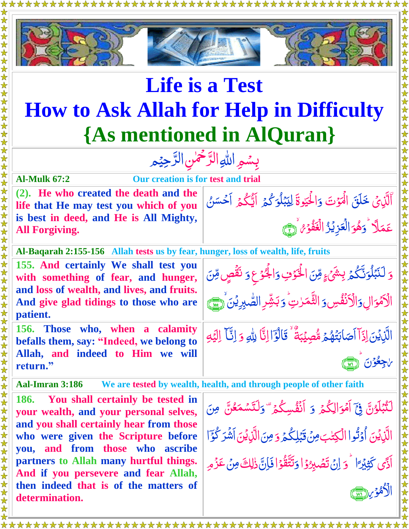

## **Life is a Test How to Ask Allah for Help in Difficulty {As mentioned in AlQuran}**

بِسُمِ اللهِ الرَّحْمٰنِ الرَّحِيْمِ  $\tilde{=}$ رّ<br>\_  $\frac{1}{2}$ رّ<br>\_

**Al-Mulk 67:2 Our creation is for test and trial (2). He who created the death and the life that He may test you which of you is best in deed, and He is All Mighty, All Forgiving.**

َّالَّذِیۡ خَلَقَ الۡمَوۡتَ  $\tilde{\zeta}$ ل دَالْحَيْوةَ ٰ الْحَيْوةَ لِيَبْلُوَكُم<u>ُ</u> ۔<br>گ بمكو  $\mu$ ֞<u>֓</u> ِ<br>په لِيَبْلُوَكُ<sub>م</sub>ُ اَيُّكُمُ اَحْسَنُ ر<br>گ  $\frac{1}{2}$ ِ<br>ا عَمَلًا َّ و <u>َ</u> هُوَ الۡعَزِيۡرُ الۡغَفۡوۡ ۚ (لَيۡجَ <u>ه</u> ام<br>سا <u>ل</u><br>ا <u>ز</u> **مُ** 

**Al-Baqarah 2:155-156 Allah tests us by fear, hunger, loss of wealth, life, fruits**

**155. And certainly We shall test you with something of fear, and hunger, and loss of wealth, and lives, and fruits. And give glad tidings to those who are patient.**

**156. Those who, when a calamity befalls them, say: "Indeed, we belong to Allah, and indeed to Him we will return."** 

**Aal-Imran 3:186 We are tested by wealth, health, and through people of other faith** 

**186. You shall certainly be tested in your wealth, and your personal selves, and you shall certainly hear from those who were given the Scripture before you, and from those who ascribe partners to Allah many hurtful things. And if you persevere and fear Allah, then indeed that is of the matters of determination.**

اِل َّ ا<mark>لْاَمُوَالِ وَالْاَنْفُ</mark>سِ ر<br>ا <u>ُ</u> َّ وَ الثَّهَرٰتِ ۖ وَ ٰ وَبَشِّرِ الصَّبِرِيْنَ ۚ وَ اللَّهِ عَلَيْهِ الْمُجْمَعِينَ ﴾ . ب ه الَّذِيۡنَ اِذَآ اَصَابَتُهُمۡ ا ۔<br>اگر  $\overline{\mathcal{L}}$ ِ<br>ُ← ا*ؖ*صَابَتُهُمۡ *مُّصِ*يۡبَةُ لَيه<br>م **آباد**<br>تعر Ã بَةٌ ۚ قَالُوۡٓٓا اِنَّاۤ لِللهِ وَ <u>أ</u> اً<br>مو ة<br>أ وَ إِنَّا إِلَيْهِ i<br>I یک<br>نا ِ<br>محمد ل ا

مِّنَ الْخَوْفِ

<u>ُرَ</u>

َّ

ا<br>أ <u>ُرَ</u>

وَالْجُوْعِ وَ نَقُصٍ

د*َ* نَقُصٍ مِّنَ Ž

Ž

َّ اجِعُوْنَ أَرْيَ <u>ُز</u> <u>وَ</u>

ہ<br>گ Ĭ <u>َ</u>

ۘ<br>نَبۡبَٰلۡوَنَّکُمۡ بِشَیۡء<sub>َ</sub>

َّ

ٰ

وَ لَنَبۡلُوَنَّكُمۡ

 $\int$ ֦֪֦֪֦֦֦֦֪֪֦֪֪֦֪֪֦֦֪֪֪֦֪֪֦֞֞֝֝֝֟֝֬֟֓֞֟֓֟֓֟֓֟֓֟֓֞֟֓֟֓֟֓֟֓֞֟֓֟֓֟֓֡֟֟֓֞֟֟֓֞֟֟֓֞֟֓֞֟֟ ل

لَّتُبَلَّوُنَّ فِيَٓ أَمۡوَالِكُمۡ .<br>.  $\frac{1}{2}$ ֦֪֦֪֦֧֦֪֦֧֧֧֪֪֦֧֦֧֧֞֝֝֝֝֝֬֟֓֟֓֡֟֓֟֟֓֟֓֞֟֓֟֓֟֓֟֓֝֟֓֟֓֡֟֓֟֓֟֓֝֟֓֟֓֝֬<br>֧֪֪֪֪֪֪֪֪֪֪֪֪֪֝֝ ا<br>ا ۡ ر<br>گ َّ و اَّم ر<br>ٱ َّ وَ أَنَّفُسِكُمْ تَّ ر<br>گ <u>ُمُ</u> َّ وَلَتَسُمَّ ِ<br>تَتَسَّمَعُنَّ مِنَ <u>ú</u> ل  $\ddot{\cdot}$ <u>أ</u> الَّذِيۡنَ اُوۡثُوا  $\tilde{\zeta}$ ن<br>لا <u>ُ</u> اُ <u>َ</u> الْكِتٰبَ مِنۡ قَبَٰلِكُمَ ٰ ۔<br>گ ֞֞֝֝<br>֧֧֝֟֝֟֟֟֟֟֟֟֟֟֓֟֓֟׆֧֧ َّب  $\ddot{\cdot}$ َّ وَ مِنَ الَّذِيْنَ اَشْرَكْوَا  $\tilde{\zeta}$ <u>أ</u> اَدَّى كَثِيْرَ ً ۡۡي ِ كَّث َّ دَ اِنْ تَصْبِرُد<mark>ُ</mark> ا ֚֞<br>֓֟ <u>ُ</u><br>ُ <u>ُ</u> ت وَتَتَّقُوْا فَإِنَّ ذٰلِكَ مِنْ عَزُمِ <u>ُ</u><br>ُ م<br>م ž ِ<br>معر ت  $\ddot{\cdot}$ ل ֧֧֚֚֚֚֚֚֚֚֚֚֚֚֚֚֚֚֚֬֩֕֩֓֡֟֓֡֟֓֡֡֩֩֓֡֟֓֡֟֓֡֟֓֡֟֡֟֡֟֡֟֩֩֓֓֞֩֩֓֓  $\frac{1}{2}$ الْأَهْوَ بِرَرْسَمَى <u>أ</u> **لَ**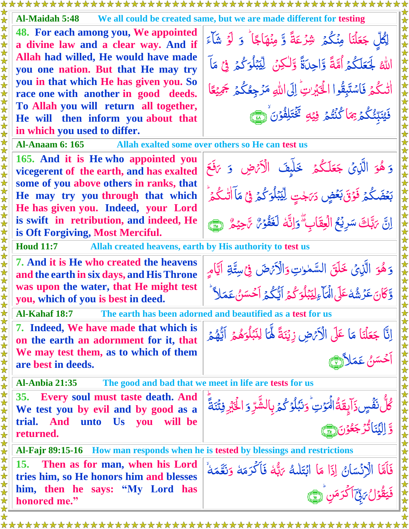| Al-Maidah 5:48<br>We all could be created same, but we are made different for testing                             |                                                                                                                                            |  |
|-------------------------------------------------------------------------------------------------------------------|--------------------------------------------------------------------------------------------------------------------------------------------|--|
| 48. For each among you, We appointed<br>a divine law and a clear way. And if                                      | لِكُلِّ جَعَلْنَا مِنْكُمْ شِرْعَةً وَّ مِنْهَاجًا ۚ وَ لَوۡ شَآءَ                                                                         |  |
| Allah had willed, He would have made                                                                              |                                                                                                                                            |  |
| you one nation. But that He may try                                                                               | اللهُ لَجَعَلَكُمُ أُمَّةً وَّاحِدَةً وَّلٰكِنُ لِيِّبَلُوَكُمُ فِي مَآ                                                                    |  |
| you in that which He has given you. So                                                                            |                                                                                                                                            |  |
| race one with another in good deeds.                                                                              | التلكُّمَ فَاسْتَبِقُوا الْحَبَّرِينَ إِلَى اللَّهِ مَرْجِعُكُمُ بَهِيْعًا                                                                 |  |
| To Allah you will return all together,                                                                            | فَيُنَبِّئُكُمُ بِمَا كُنْتُمُ فِيۡهِ ۖ تَخۡتَلِفُوۡنَ ۚ (َسََّ                                                                            |  |
| He will then inform you about that                                                                                |                                                                                                                                            |  |
| in which you used to differ.<br><b>Al-Anaam 6: 165</b>                                                            |                                                                                                                                            |  |
| Allah exalted some over others so He can test us                                                                  |                                                                                                                                            |  |
| 165. And it is He who appointed you<br>vicegerent of the earth, and has exalted                                   | وَ هُوَ الَّذِيْ جَعَلَكُمْ خَلَّهِفَ الْأَيْضِ وَ يَفَعَ                                                                                  |  |
| some of you above others in ranks, that<br>He may try you through that which                                      | بَعۡضَكُمۡ فَوۡقَ بَعۡضٍ دَيَجۡتِ لِيِّبۡلُوَكُمۡ فِيۡ مَآالْتَكُمۡ                                                                        |  |
| He has given you. Indeed, your Lord                                                                               |                                                                                                                                            |  |
| is swift in retribution, and indeed, He<br>is Oft Forgiving, Most Merciful.                                       | إِنَّ يَتَّلِكَ سَرِيْحُ الْعِقَابِ ۗوَإِنَّهُ لَغَفُوۡنٌ يَٰحِيۡهُ ۚ (٢٦)                                                                 |  |
| <b>Houd 11:7</b><br>Allah created heavens, earth by His authority to test us                                      |                                                                                                                                            |  |
| 7. And it is He who created the heavens                                                                           | وَهُوَ الَّذِيْ خَلَقَ السَّمٰوتِ وَالْأَيْرَضَ فِي سِتَّةِ أَيَّامٍ                                                                       |  |
| and the earth in six days, and His Throne                                                                         |                                                                                                                                            |  |
| was upon the water, that He might test                                                                            | وَّكَانَ عَزَ شُهْ عَلَى الْمَآءِلِيَبْلُوَكُمُ اَيُّكُمُّ اَحْسَنُ عَمَلاً                                                                |  |
| you, which of you is best in deed.<br>Al-Kahaf 18:7<br>The earth has been adorned and beautified as a test for us |                                                                                                                                            |  |
| 7. Indeed, We have made that which is                                                                             |                                                                                                                                            |  |
| on the earth an adornment for it, that                                                                            | إنَّا جَعَلْنَا مَا عَلَى الْأَنْهِ زِيْنَةً لَهَّا لِنَبْلُوَهُمُ اَيُّهُمُّ<br> <br> كَسَنُ عَمَلاًألِمِ                                 |  |
| We may test them, as to which of them                                                                             |                                                                                                                                            |  |
| are best in deeds.                                                                                                |                                                                                                                                            |  |
| <b>Al-Anbia 21:35</b><br>The good and bad that we meet in life are tests for us                                   |                                                                                                                                            |  |
| 35. Every soul must taste death. And                                                                              |                                                                                                                                            |  |
| We test you by evil and by good as a                                                                              |                                                                                                                                            |  |
| trial. And unto Us you<br>will be<br>returned.                                                                    | ڴڵؙٮ <i>ؘڨٞ</i> ڛۮؘٳۜؠؚؚ۪ڦؘۊ۠ٳڶ <i>ؗڬ</i> ؘۊؾۙ؋ٮؘڹؙڷٷػ۠ؽؘڔؚٳڶۺ۠ۜڗؚۅؘٳڂۘڹٞڔڣٮۘٞڹؘڐۘٙؗ<br>ۊٳڸؽؘڹؘٲٮ۠ۯڿٶؙ <u>ڹ۞</u>                           |  |
| Al-Fajr 89:15-16 How man responds when he is tested by blessings and restrictions                                 |                                                                                                                                            |  |
| <b>15.</b><br>Then as for man, when his Lord                                                                      |                                                                                                                                            |  |
| tries him, so He honors him and blesses                                                                           |                                                                                                                                            |  |
| him, then he says: "My Lord has<br>honored me."                                                                   | فَأَمَّا الْإِنْسَانُ إِذَا مَا ابْتَلْكُ يَهُّهُ فَأَكْرَمَهُ وَنَعَّمَهُ <sup>ْ</sup><br>فَيَقْوَلُ يَ <sub>كِّ</sub> آكْرَمَنِ إِلَيْهِ |  |
|                                                                                                                   |                                                                                                                                            |  |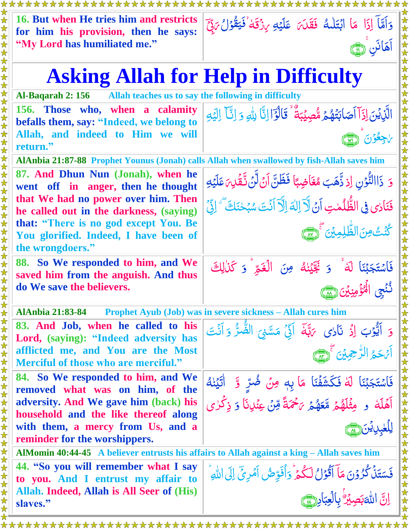|  | 16. But when He tries him and restricts<br>for him his provision, then he says:                                             | وَاَمَّاً إِذَا مَا ابْتَلَلْهُ فَقَلَىَ عَلَيْهِ مِنْقَةٌ فَيَقُوْلُ يَبِّعَ                                                     |
|--|-----------------------------------------------------------------------------------------------------------------------------|-----------------------------------------------------------------------------------------------------------------------------------|
|  | "My Lord has humiliated me."                                                                                                | آهَانَن ر                                                                                                                         |
|  |                                                                                                                             | <b>Asking Allah for Help in Difficulty</b>                                                                                        |
|  | Al-Baqarah 2: 156                                                                                                           | Allah teaches us to say the following in difficulty                                                                               |
|  | 156. Those who, when a calamity<br>befalls them, say: "Indeed, we belong to<br>Allah, and indeed to Him we will<br>return." | الَّذِيْنَ إِذَآ أَصَابَتُهُمۡ مُّصِيۡبَةٌ ۚ قَالَوۡۤا إِنَّا لِلَّهِ وَ إِنَّآ إِلَيۡهِ<br>باجعُوْن                              |
|  | AlAnbia 21:87-88 Prophet Younus (Jonah) calls Allah when swallowed by fish-Allah saves him                                  |                                                                                                                                   |
|  | 87. And Dhun Nun (Jonah), when he<br>went off in anger, then he thought                                                     | وَ ذَاالتُّوۡنِ اِذِ ذَّهَبَ مُغَاضِبًا فَظَنَّ اَنۡ لَّنۡ تَقۡلِہَ عَلَيۡهِ                                                      |
|  | that We had no power over him. Then<br>he called out in the darkness, (saying)                                              | فَنَادِي فِي الظُّلُمٰتِ آنَ لَّا لِكَ اِلَّا آنَتَ سُبۡحٰنَكَ ۗ وَلَٰٓ ۚ إِنَّيۡ                                                 |
|  | that: "There is no god except You. Be<br>You glorified. Indeed, I have been of<br>the wrongdoers."                          | كُنْتُ مِنَ الظُّلِمِينَ تَجْهَيَ                                                                                                 |
|  | 88. So We responded to him, and We<br>saved him from the anguish. And thus                                                  | فَاسْتَجَبْنَا لَهُ ۚ وَ نَجَّيْنِهُ مِنَ الْغَمِّ ۚ وَ كَذٰلِكَ                                                                  |
|  | do We save the believers.                                                                                                   | نُنْجِي الْمُؤْمِنِينَ ( صَ                                                                                                       |
|  | <b>AlAnbia 21:83-84</b>                                                                                                     | <b>Prophet Ayub (Job) was in severe sickness – Allah cures him</b>                                                                |
|  | 83. And Job, when he called to his                                                                                          |                                                                                                                                   |
|  | Lord, (saying): "Indeed adversity has                                                                                       | وَ اَيُّوۡبَ إِذۡ نَآاي يَهَّدَ اَئِيۡ مَسَّنِيَ الضَّرُّ وَ اَنۡتَ                                                               |
|  | afflicted me, and You are the Most<br>Merciful of those who are merciful."                                                  | أئ حَيْرُ الرُّحِمِينَ تَحْرَسَ                                                                                                   |
|  | 84. So We responded to him, and We<br>removed what was on him, of the                                                       | فَاسْتَجَبْنَا لَهُ فَكَشَفَنَا مَا بِهِ مِنْ ضُرٍّ وَّ ۚ اٰتَيۡنٰهُ                                                              |
|  | adversity. And We gave him (back) his<br>household and the like thereof along                                               | .<br>اَهۡلَهُ ۚ و مِثۡلَهُمۡ مَّعَهُمۡ ٱحۡمَةً مِّنۡ عِنۡلِنَاۚ وَ ذِكۡرٰى                                                        |
|  | with them, a mercy from Us, and a<br>reminder for the worshippers.                                                          | ا <b>ڳھيل ٿين</b> (هم                                                                                                             |
|  | AlMomin 40:44-45 A believer entrusts his affairs to Allah against a king – Allah saves him                                  |                                                                                                                                   |
|  | 44. "So you will remember what I say<br>to you. And I entrust my affair to                                                  | فَسَتَنْ كُرُوۡنَ مَآ اَقُوَلُ لَكُمۡۚ وَآٰفَوِّضُ اَمۡرِیۡٓ اِلَى اللّٰهِ ؕ<br>اِنَّ اللّٰہَبۡصِیۡرُ ۚ بِالۡعِبَادِ <u>(سَ</u> ۖ |
|  | Allah. Indeed, Allah is All Seer of (His)<br>slaves."                                                                       |                                                                                                                                   |
|  |                                                                                                                             |                                                                                                                                   |